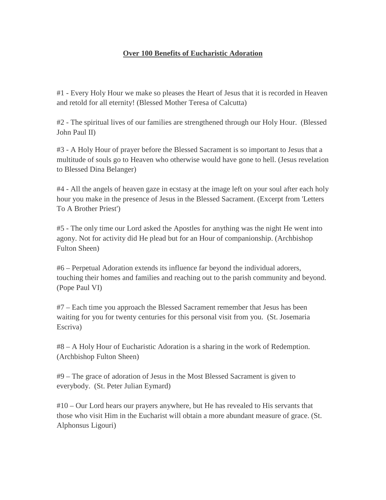## **Over 100 Benefits of Eucharistic Adoration**

#1 - Every Holy Hour we make so pleases the Heart of Jesus that it is recorded in Heaven and retold for all eternity! (Blessed Mother Teresa of Calcutta)

#2 - The spiritual lives of our families are strengthened through our Holy Hour. (Blessed John Paul II)

#3 - A Holy Hour of prayer before the Blessed Sacrament is so important to Jesus that a multitude of souls go to Heaven who otherwise would have gone to hell. (Jesus revelation to Blessed Dina Belanger)

#4 - All the angels of heaven gaze in ecstasy at the image left on your soul after each holy hour you make in the presence of Jesus in the Blessed Sacrament. (Excerpt from 'Letters To A Brother Priest')

#5 - The only time our Lord asked the Apostles for anything was the night He went into agony. Not for activity did He plead but for an Hour of companionship. (Archbishop Fulton Sheen)

#6 – Perpetual Adoration extends its influence far beyond the individual adorers, touching their homes and families and reaching out to the parish community and beyond. (Pope Paul VI)

#7 – Each time you approach the Blessed Sacrament remember that Jesus has been waiting for you for twenty centuries for this personal visit from you. (St. Josemaria Escriva)

#8 – A Holy Hour of Eucharistic Adoration is a sharing in the work of Redemption. (Archbishop Fulton Sheen)

#9 – The grace of adoration of Jesus in the Most Blessed Sacrament is given to everybody. (St. Peter Julian Eymard)

#10 – Our Lord hears our prayers anywhere, but He has revealed to His servants that those who visit Him in the Eucharist will obtain a more abundant measure of grace. (St. Alphonsus Ligouri)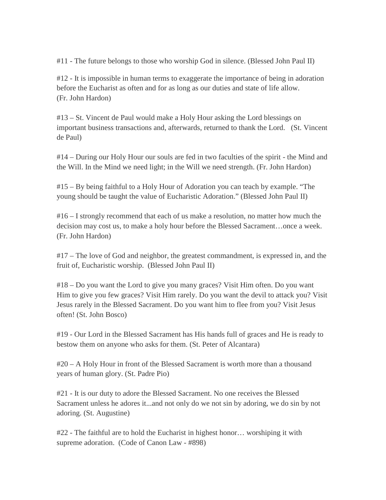#11 - The future belongs to those who worship God in silence. (Blessed John Paul II)

#12 - It is impossible in human terms to exaggerate the importance of being in adoration before the Eucharist as often and for as long as our duties and state of life allow. (Fr. John Hardon)

#13 – St. Vincent de Paul would make a Holy Hour asking the Lord blessings on important business transactions and, afterwards, returned to thank the Lord. (St. Vincent de Paul)

#14 – During our Holy Hour our souls are fed in two faculties of the spirit - the Mind and the Will. In the Mind we need light; in the Will we need strength. (Fr. John Hardon)

#15 – By being faithful to a Holy Hour of Adoration you can teach by example. "The young should be taught the value of Eucharistic Adoration." (Blessed John Paul II)

#16 – I strongly recommend that each of us make a resolution, no matter how much the decision may cost us, to make a holy hour before the Blessed Sacrament…once a week. (Fr. John Hardon)

#17 – The love of God and neighbor, the greatest commandment, is expressed in, and the fruit of, Eucharistic worship. (Blessed John Paul II)

#18 – Do you want the Lord to give you many graces? Visit Him often. Do you want Him to give you few graces? Visit Him rarely. Do you want the devil to attack you? Visit Jesus rarely in the Blessed Sacrament. Do you want him to flee from you? Visit Jesus often! (St. John Bosco)

#19 - Our Lord in the Blessed Sacrament has His hands full of graces and He is ready to bestow them on anyone who asks for them. (St. Peter of Alcantara)

#20 – A Holy Hour in front of the Blessed Sacrament is worth more than a thousand years of human glory. (St. Padre Pio)

#21 - It is our duty to adore the Blessed Sacrament. No one receives the Blessed Sacrament unless he adores it...and not only do we not sin by adoring, we do sin by not adoring. (St. Augustine)

#22 - The faithful are to hold the Eucharist in highest honor… worshiping it with supreme adoration. (Code of Canon Law - #898)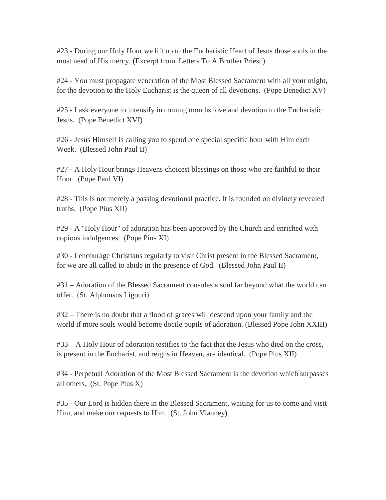#23 - During our Holy Hour we lift up to the Eucharistic Heart of Jesus those souls in the most need of His mercy. (Excerpt from 'Letters To A Brother Priest')

#24 - You must propagate veneration of the Most Blessed Sacrament with all your might, for the devotion to the Holy Eucharist is the queen of all devotions. (Pope Benedict XV)

#25 - I ask everyone to intensify in coming months love and devotion to the Eucharistic Jesus. (Pope Benedict XVI)

#26 - Jesus Himself is calling you to spend one special specific hour with Him each Week. (Blessed John Paul II)

#27 - A Holy Hour brings Heavens choicest blessings on those who are faithful to their Hour. (Pope Paul VI)

#28 - This is not merely a passing devotional practice. It is founded on divinely revealed truths. (Pope Pius XII)

#29 - A "Holy Hour" of adoration has been approved by the Church and enriched with copious indulgences. (Pope Pius XI)

#30 - I encourage Christians regularly to visit Christ present in the Blessed Sacrament, for we are all called to abide in the presence of God. (Blessed John Paul II)

#31 – Adoration of the Blessed Sacrament consoles a soul far beyond what the world can offer. (St. Alphonsus Ligouri)

#32 – There is no doubt that a flood of graces will descend upon your family and the world if more souls would become docile pupils of adoration. (Blessed Pope John XXIII)

#33 – A Holy Hour of adoration testifies to the fact that the Jesus who died on the cross, is present in the Eucharist, and reigns in Heaven, are identical. (Pope Pius XII)

#34 - Perpetual Adoration of the Most Blessed Sacrament is the devotion which surpasses all others. (St. Pope Pius X)

#35 - Our Lord is hidden there in the Blessed Sacrament, waiting for us to come and visit Him, and make our requests to Him. (St. John Vianney)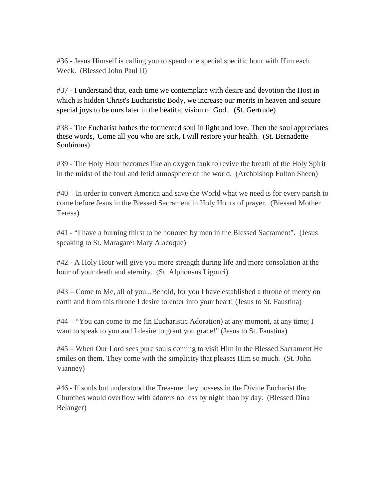#36 - Jesus Himself is calling you to spend one special specific hour with Him each Week. (Blessed John Paul II)

#37 - I understand that, each time we contemplate with desire and devotion the Host in which is hidden Christ's Eucharistic Body, we increase our merits in heaven and secure special joys to be ours later in the beatific vision of God. (St. Gertrude)

#38 - The Eucharist bathes the tormented soul in light and love. Then the soul appreciates these words, 'Come all you who are sick, I will restore your health. (St. Bernadette Soubirous)

#39 - The Holy Hour becomes like an oxygen tank to revive the breath of the Holy Spirit in the midst of the foul and fetid atmosphere of the world. (Archbishop Fulton Sheen)

#40 – In order to convert America and save the World what we need is for every parish to come before Jesus in the Blessed Sacrament in Holy Hours of prayer. (Blessed Mother Teresa)

#41 - "I have a burning thirst to be honored by men in the Blessed Sacrament". (Jesus speaking to St. Maragaret Mary Alacoque)

#42 - A Holy Hour will give you more strength during life and more consolation at the hour of your death and eternity. (St. Alphonsus Ligouri)

#43 – Come to Me, all of you...Behold, for you I have established a throne of mercy on earth and from this throne I desire to enter into your heart! (Jesus to St. Faustina)

#44 – "You can come to me (in Eucharistic Adoration) at any moment, at any time; I want to speak to you and I desire to grant you grace!" (Jesus to St. Faustina)

#45 – When Our Lord sees pure souls coming to visit Him in the Blessed Sacrament He smiles on them. They come with the simplicity that pleases Him so much. (St. John Vianney)

#46 - If souls but understood the Treasure they possess in the Divine Eucharist the Churches would overflow with adorers no less by night than by day. (Blessed Dina Belanger)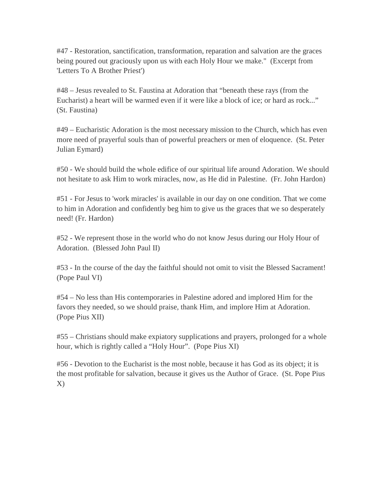#47 - Restoration, sanctification, transformation, reparation and salvation are the graces being poured out graciously upon us with each Holy Hour we make." (Excerpt from 'Letters To A Brother Priest')

#48 – Jesus revealed to St. Faustina at Adoration that "beneath these rays (from the Eucharist) a heart will be warmed even if it were like a block of ice; or hard as rock..." (St. Faustina)

#49 – Eucharistic Adoration is the most necessary mission to the Church, which has even more need of prayerful souls than of powerful preachers or men of eloquence. (St. Peter Julian Eymard)

#50 - We should build the whole edifice of our spiritual life around Adoration. We should not hesitate to ask Him to work miracles, now, as He did in Palestine. (Fr. John Hardon)

#51 - For Jesus to 'work miracles' is available in our day on one condition. That we come to him in Adoration and confidently beg him to give us the graces that we so desperately need! (Fr. Hardon)

#52 - We represent those in the world who do not know Jesus during our Holy Hour of Adoration. (Blessed John Paul II)

#53 - In the course of the day the faithful should not omit to visit the Blessed Sacrament! (Pope Paul VI)

#54 – No less than His contemporaries in Palestine adored and implored Him for the favors they needed, so we should praise, thank Him, and implore Him at Adoration. (Pope Pius XII)

#55 – Christians should make expiatory supplications and prayers, prolonged for a whole hour, which is rightly called a "Holy Hour". (Pope Pius XI)

#56 - Devotion to the Eucharist is the most noble, because it has God as its object; it is the most profitable for salvation, because it gives us the Author of Grace. (St. Pope Pius  $X)$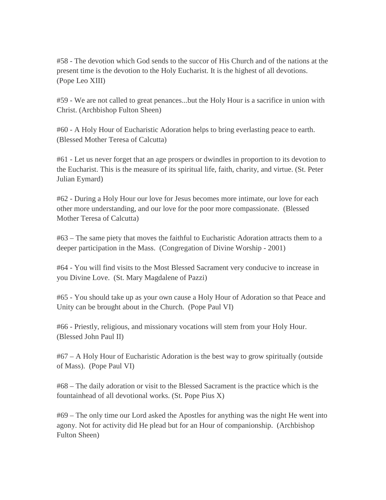#58 - The devotion which God sends to the succor of His Church and of the nations at the present time is the devotion to the Holy Eucharist. It is the highest of all devotions. (Pope Leo XIII)

#59 - We are not called to great penances...but the Holy Hour is a sacrifice in union with Christ. (Archbishop Fulton Sheen)

#60 - A Holy Hour of Eucharistic Adoration helps to bring everlasting peace to earth. (Blessed Mother Teresa of Calcutta)

#61 - Let us never forget that an age prospers or dwindles in proportion to its devotion to the Eucharist. This is the measure of its spiritual life, faith, charity, and virtue. (St. Peter Julian Eymard)

#62 - During a Holy Hour our love for Jesus becomes more intimate, our love for each other more understanding, and our love for the poor more compassionate. (Blessed Mother Teresa of Calcutta)

#63 – The same piety that moves the faithful to Eucharistic Adoration attracts them to a deeper participation in the Mass. (Congregation of Divine Worship - 2001)

#64 - You will find visits to the Most Blessed Sacrament very conducive to increase in you Divine Love. (St. Mary Magdalene of Pazzi)

#65 - You should take up as your own cause a Holy Hour of Adoration so that Peace and Unity can be brought about in the Church. (Pope Paul VI)

#66 - Priestly, religious, and missionary vocations will stem from your Holy Hour. (Blessed John Paul II)

#67 – A Holy Hour of Eucharistic Adoration is the best way to grow spiritually (outside of Mass). (Pope Paul VI)

#68 – The daily adoration or visit to the Blessed Sacrament is the practice which is the fountainhead of all devotional works. (St. Pope Pius X)

#69 – The only time our Lord asked the Apostles for anything was the night He went into agony. Not for activity did He plead but for an Hour of companionship. (Archbishop Fulton Sheen)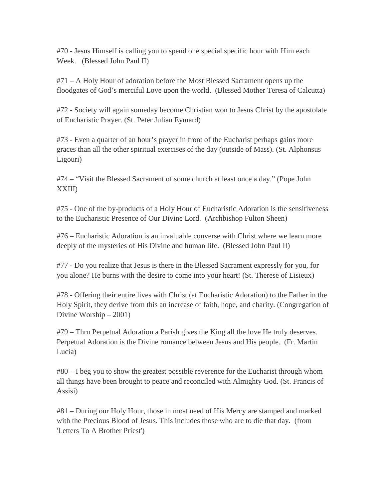#70 - Jesus Himself is calling you to spend one special specific hour with Him each Week. (Blessed John Paul II)

#71 – A Holy Hour of adoration before the Most Blessed Sacrament opens up the floodgates of God's merciful Love upon the world. (Blessed Mother Teresa of Calcutta)

#72 - Society will again someday become Christian won to Jesus Christ by the apostolate of Eucharistic Prayer. (St. Peter Julian Eymard)

#73 - Even a quarter of an hour's prayer in front of the Eucharist perhaps gains more graces than all the other spiritual exercises of the day (outside of Mass). (St. Alphonsus Ligouri)

#74 – "Visit the Blessed Sacrament of some church at least once a day." (Pope John XXIII)

#75 - One of the by-products of a Holy Hour of Eucharistic Adoration is the sensitiveness to the Eucharistic Presence of Our Divine Lord. (Archbishop Fulton Sheen)

#76 – Eucharistic Adoration is an invaluable converse with Christ where we learn more deeply of the mysteries of His Divine and human life. (Blessed John Paul II)

#77 - Do you realize that Jesus is there in the Blessed Sacrament expressly for you, for you alone? He burns with the desire to come into your heart! (St. Therese of Lisieux)

#78 - Offering their entire lives with Christ (at Eucharistic Adoration) to the Father in the Holy Spirit, they derive from this an increase of faith, hope, and charity. (Congregation of Divine Worship – 2001)

#79 – Thru Perpetual Adoration a Parish gives the King all the love He truly deserves. Perpetual Adoration is the Divine romance between Jesus and His people. (Fr. Martin Lucia)

#80 – I beg you to show the greatest possible reverence for the Eucharist through whom all things have been brought to peace and reconciled with Almighty God. (St. Francis of Assisi)

#81 – During our Holy Hour, those in most need of His Mercy are stamped and marked with the Precious Blood of Jesus. This includes those who are to die that day. (from 'Letters To A Brother Priest')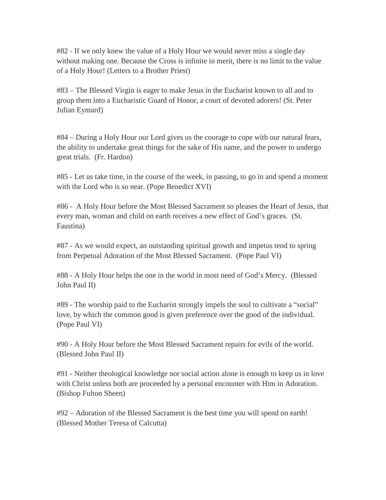#82 - If we only knew the value of a Holy Hour we would never miss a single day without making one. Because the Cross is infinite in merit, there is no limit to the value of a Holy Hour! (Letters to a Brother Priest)

#83 – The Blessed Virgin is eager to make Jesus in the Eucharist known to all and to group them into a Eucharistic Guard of Honor, a court of devoted adorers! (St. Peter Julian Eymard)

#84 – During a Holy Hour our Lord gives us the courage to cope with our natural fears, the ability to undertake great things for the sake of His name, and the power to undergo great trials. (Fr. Hardon)

#85 - Let us take time, in the course of the week, in passing, to go in and spend a moment with the Lord who is so near. (Pope Benedict XVI)

#86 - A Holy Hour before the Most Blessed Sacrament so pleases the Heart of Jesus, that every man, woman and child on earth receives a new effect of God's graces. (St. Faustina)

#87 - As we would expect, an outstanding spiritual growth and impetus tend to spring from Perpetual Adoration of the Most Blessed Sacrament. (Pope Paul VI)

#88 - A Holy Hour helps the one in the world in most need of God's Mercy. (Blessed John Paul II)

#89 - The worship paid to the Eucharist strongly impels the soul to cultivate a "social" love, by which the common good is given preference over the good of the individual. (Pope Paul VI)

#90 - A Holy Hour before the Most Blessed Sacrament repairs for evils of the world. (Blessed John Paul II)

#91 - Neither theological knowledge nor social action alone is enough to keep us in love with Christ unless both are proceeded by a personal encounter with Him in Adoration. (Bishop Fulton Sheen)

#92 – Adoration of the Blessed Sacrament is the best time you will spend on earth! (Blessed Mother Teresa of Calcutta)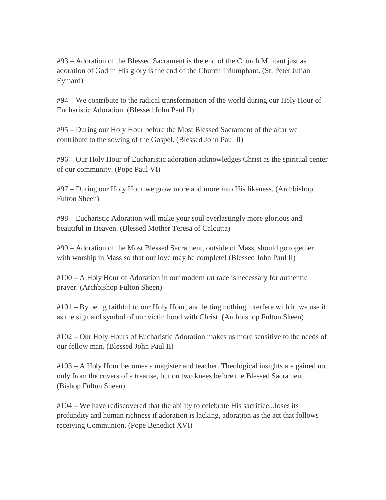#93 – Adoration of the Blessed Sacrament is the end of the Church Militant just as adoration of God in His glory is the end of the Church Triumphant. (St. Peter Julian Eymard)

#94 – We contribute to the radical transformation of the world during our Holy Hour of Eucharistic Adoration. (Blessed John Paul II)

#95 – During our Holy Hour before the Most Blessed Sacrament of the altar we contribute to the sowing of the Gospel. (Blessed John Paul II)

#96 – Our Holy Hour of Eucharistic adoration acknowledges Christ as the spiritual center of our community. (Pope Paul VI)

#97 – During our Holy Hour we grow more and more into His likeness. (Archbishop Fulton Sheen)

#98 – Eucharistic Adoration will make your soul everlastingly more glorious and beautiful in Heaven. (Blessed Mother Teresa of Calcutta)

#99 – Adoration of the Most Blessed Sacrament, outside of Mass, should go together with worship in Mass so that our love may be complete! (Blessed John Paul II)

#100 – A Holy Hour of Adoration in our modern rat race is necessary for authentic prayer. (Archbishop Fulton Sheen)

#101 – By being faithful to our Holy Hour, and letting nothing interfere with it, we use it as the sign and symbol of our victimhood with Christ. (Archbishop Fulton Sheen)

#102 – Our Holy Hours of Eucharistic Adoration makes us more sensitive to the needs of our fellow man. (Blessed John Paul II)

#103 – A Holy Hour becomes a magister and teacher. Theological insights are gained not only from the covers of a treatise, but on two knees before the Blessed Sacrament. (Bishop Fulton Sheen)

#104 – We have rediscovered that the ability to celebrate His sacrifice...loses its profundity and human richness if adoration is lacking, adoration as the act that follows receiving Communion. (Pope Benedict XVI)